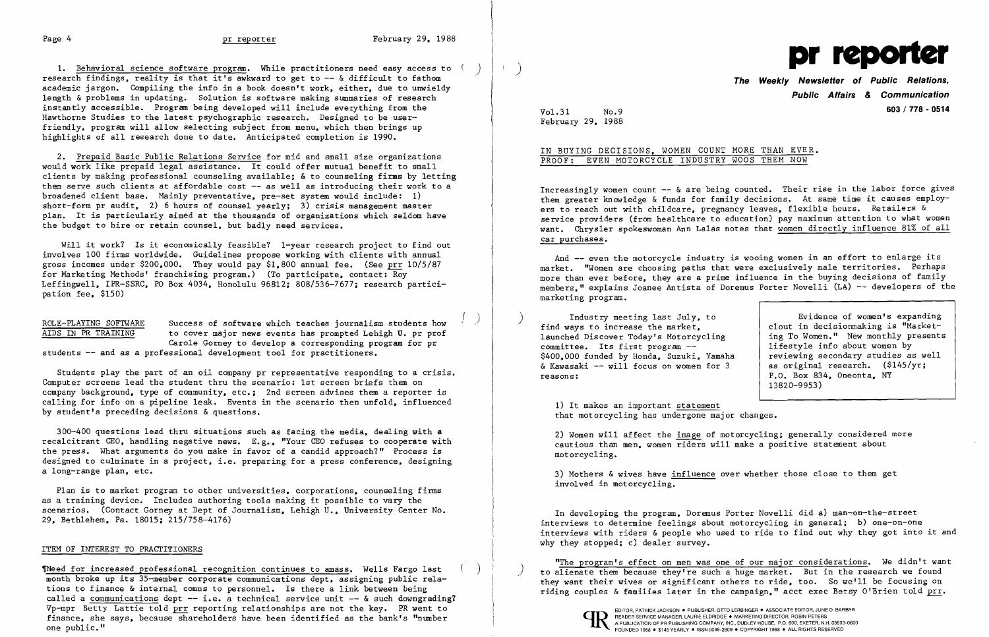Page 4

1. <u>Behavioral science software program</u>. While practitioners need easy access to research findings, reality is that it's awkward to get to -- & difficult to fathom academic jargon. Compiling the info in a book doesn't work. either. due to unwieldy length & problems in updating. Solution is software making summaries of research instantly accessible. Program being developed will include everything from the Hawthorne Studies to the latest psychographic research. Designed to be userfriendly. program will allow selecting subject from menu. which then brings up highlights of all research done to date. Anticipated completion is 1990.

Will it work? Is it economically feasible? 1-year research project to find out involves 100 firms worldwide. Guidelines propose working with clients with annual gross incomes under \$200.000. They would pay \$1.800 annual fee. (See prr 10/5/87 for Marketing Methods' franchising program.) (To participate. contact: Roy Leffingwell. IPR-SSRC. PO Box 4034. Honolulu 96812; 808/536-7677; research participation fee. \$150)

ROLE-PLAYING SOFTWARE Success of software which teaches journalism students how<br>AIDS IN PR TRAINING to cover major news events has prompted Lehigh U. pr prof to cover major news events has prompted Lehigh U. pr prof Carole Gorney to develop a corresponding program for pr students -- and as a professional development tool for practitioners.

2. Prepaid Basic Public Relations Service for mid and small size organizations would work like prepaid legal assistance. It could offer mutual benefit to small clients by making professional counseling available; & to counseling firms by letting them serve such clients at affordable cost  $-$  as well as introducing their work to a broadened client base. Mainly preventative. pre-set system would include: 1) short-form pr audit, 2) 6 hours of counsel  $\frac{1}{x}$  vearly; 3) crisis management master plan. It is particularly aimed at the thousands of organizations which seldom have the budget to hire or retain counsel. but badly need services.

Students play the part of an oil company pr representative responding to a crisis. Computer screens lead the student thru the scenario: 1st screen briefs them on company background. type of community. etc.; 2nd screen advises them a reporter is calling for info on a pipeline leak. Events in the scenario then unfold, influenced by student's preceding decisions & questions.

> 3) Mothers & wives have influence over whether those close to them get involved in motorcycling.

300-400 questions lead thru situations such as facing the media. dealing with a recalcitrant CEO, handling negative news. E.g., "Your CEO refuses to cooperate with the press. What arguments do you make in favor of a candid approach?" Process is designed to culminate in a project, i.e. preparing for a press conference, designing a long-range plan. etc.

"The program's effect on men was one of our major considerations. We didn't want The for increased professional recognition continues to amass. Wells Fargo last () ) to alienate them because they're such a huge market. But in the research we found<br>month broke up its 35-member corporate communications d



EDITOR, PATRICK JACKSON . PUBLISHER, OTTO LERBINGER . ASSOCIATE EDITOR, JUNE D. BARBER READER SERVICE MANAGER, LAURIE ELDRIDGE . MARKETING DIRECTOR, ROBIN PETERS

Plan is to market program to other universities. corporations. counseling firms as a training device. Includes authoring tools making it possible to vary the scenarios. (Contact Gorney at Dept of Journalism, Lehigh U., University Center No. 29. Bethlehem. Pa. 18015; 215/758-4176)

## ITEM OF INTEREST TO PRACTITIONERS

month broke up its 35-member corporate communications dept, assigning public rela-<br>they want their wives or significant others to ride, too. So we'll be focusing on<br>riding couples & families later in the campaign," acct ex called a communications dept  $-$  i.e. a technical service unit  $-$  & such downgrading? Vp-mpr Betty Lattie told <u>prr</u> reporting relationships are not the key. PR went to finance, she says, because shareholders have been identified as the bank's "number one public." finance, she says, because shareholders have been identified as the bank's "number ONE PUBLISHING COMPANY, INC., DUDLEY HOUSE, P.O. 600, EXETER, N.H. 03833<br>FOUNDED 1958 • \$145 YEARLY ● ISSN 0048-2609 ● COPYRIGHT 1988 • ALL RIGHTS RESERVED

)

( )



**The Weekly Newsletter of Public Relations, Public Affairs & Communication**  Vo1.31 No.9 **603/778 - <sup>0514</sup>**

February 29. 1988

## IN BUYING DECISIONS. WOMEN COUNT MORE THAN EVER. PROOF: EVEN MOTORCYCLE INDUSTRY WOOS THEM NOW

Increasingly women count -- & are being counted. Their rise in the labor force gives them greater knowledge & funds for family decisions. At same time it causes employers to reach out with childcare, pregnancy leaves, flexible hours. Retailers & service providers (from hea1thcare to education) pay maximum attention to what women want. Chrysler spokeswoman Ann La1as notes that women directly influence 81% of all car purchases.

And -- even the motorcycle industry is wooing women in an effort to enlarge its market. "Women are choosing paths that were exclusively male territories. Perhaps more than ever before. they are a prime influence in the buying decisions of family members." explains Joanee Antista of Doremus Porter Novelli (LA) -- developers of the marketing program.

) Industry meeting last July. to find ways to increase the market. launched Discover Today's Motorcycling committee. Its first program --\$400.000 funded by Honda. Suzuki, Yamaha & Kawasaki -- will focus on women for 3 reasons:

Evidence of women's expanding clout in decisionmaking is "Marketing To Women." New monthly presents lifestyle info about women by reviewing secondary studies as well as original research. (\$145/yr; P.O. Box 834, Oneonta, NY 13820-9953)

1) It makes an important statement that motorcycling has undergone major changes.

2) Women will affect the image of motorcycling; generally considered more cautious than men. women riders will make a positive statement about motorcycling.

In developing the program. Doremus Porter Novelli did a) man-on-the-street interviews to determine feelings about motorcycling in general; b) one-on-one interviews with riders & people who used to ride to find out why they got into it and why they stopped; c) dealer survey.